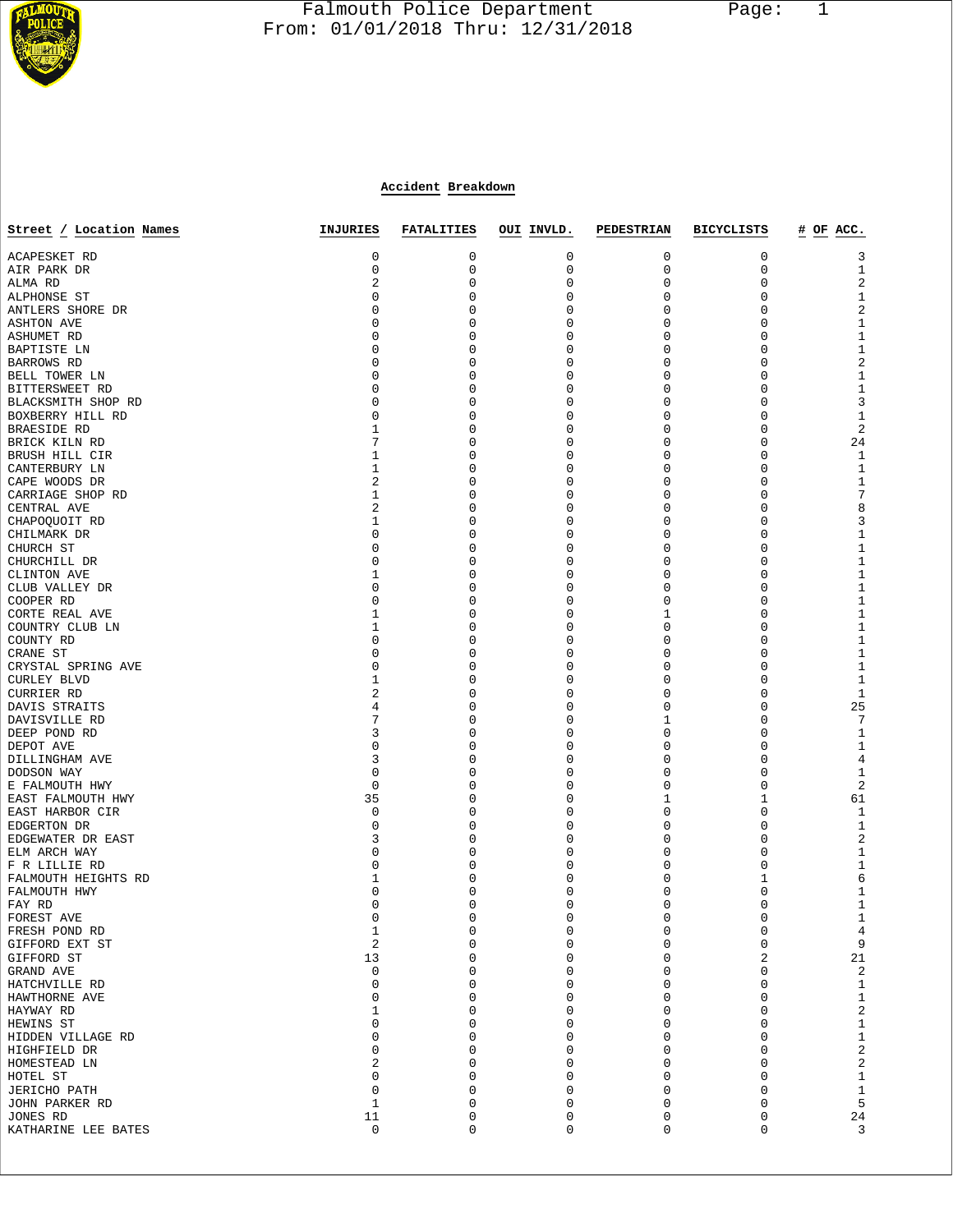

# Falmouth Police Department Page: 1  $\frac{1}{3}$  From: 01/01/2018 Thru: 12/31/2018

# **Accident Breakdown**

| Street / Location Names     | INJURIES                | <b>FATALITIES</b> | OUI INVLD.       | PEDESTRIAN | <b>BICYCLISTS</b> | # OF ACC.               |
|-----------------------------|-------------------------|-------------------|------------------|------------|-------------------|-------------------------|
| ACAPESKET RD                | 0                       | 0                 | 0                | 0          | 0                 | 3                       |
| AIR PARK DR                 | 0                       | 0                 | 0                | 0          | 0                 | 1                       |
| ALMA RD                     | 2                       | 0                 | 0                | 0          | 0                 | 2                       |
| ALPHONSE ST                 | 0                       | 0                 | 0                | 0          | 0                 | $\mathbf{1}$            |
| ANTLERS SHORE DR            | 0                       | 0                 | 0                | 0          | 0                 | $\sqrt{2}$              |
| <b>ASHTON AVE</b>           | 0                       | 0                 | 0                | 0          | 0                 | $\mathbf{1}$            |
| ASHUMET RD                  | 0                       | 0                 | 0                | 0          | 0                 | $\,1\,$                 |
| BAPTISTE LN                 | 0                       | 0                 | 0                | 0          | 0                 | $1\,$                   |
| BARROWS RD                  | 0                       | 0                 | 0                | 0          | 0                 | $\sqrt{2}$              |
| BELL TOWER LN               | 0                       | 0                 | 0                | 0          | $\Omega$          | $1\,$                   |
| BITTERSWEET RD              | 0                       | 0                 | 0                | 0          | 0                 | $1\,$                   |
| BLACKSMITH SHOP RD          | 0                       | 0                 | 0                | 0          | 0                 | $\overline{3}$          |
| BOXBERRY HILL RD            | 0                       | 0                 | 0                | 0          | 0                 | $\mathbf{1}$            |
| BRAESIDE RD                 | $\mathbf 1$             | 0                 | $\mathbf 0$      | 0          | 0                 | $\sqrt{2}$              |
| BRICK KILN RD               | 7                       | 0                 | $\mathbf 0$      | 0          | 0                 | 24                      |
| BRUSH HILL CIR              | 1                       | 0                 | 0                | 0          | 0                 | 1                       |
| CANTERBURY LN               | $\mathbf 1$             | 0                 | 0                | 0          | 0                 | $\mathbf{1}$            |
| CAPE WOODS DR               | 2                       | 0                 | 0                | 0          | 0                 | $\mathbf{1}$            |
| CARRIAGE SHOP RD            | $\mathbf 1$<br>2        | 0<br>0            | 0<br>$\mathbf 0$ | 0          | 0<br>0            | $\overline{7}$          |
| CENTRAL AVE                 |                         |                   | $\mathbf 0$      | 0          | 0                 | 8                       |
| CHAPOQUOIT RD               | 1                       | 0                 |                  | 0          | 0                 | 3                       |
| CHILMARK DR                 | 0<br>0                  | 0<br>0            | 0<br>0           | 0<br>0     | 0                 | $1\,$<br>$1\,$          |
| CHURCH ST                   | 0                       | 0                 | 0                | 0          | 0                 | $\,1\,$                 |
| CHURCHILL DR<br>CLINTON AVE | 1                       | 0                 | 0                | 0          | 0                 | $\,1\,$                 |
| CLUB VALLEY DR              | 0                       | 0                 | 0                | 0          | 0                 | $\,1\,$                 |
| COOPER RD                   | 0                       | 0                 | 0                | 0          | $\Omega$          | $1\,$                   |
| CORTE REAL AVE              | 1                       | 0                 | 0                | 1          | 0                 | $\,1\,$                 |
| COUNTRY CLUB LN             | 1                       | 0                 | 0                | 0          | 0                 | $1\,$                   |
| COUNTY RD                   | 0                       | 0                 | $\Omega$         | 0          | 0                 | $1\,$                   |
| CRANE ST                    | 0                       | 0                 | 0                | 0          | 0                 | $\,1\,$                 |
| CRYSTAL SPRING AVE          | 0                       | 0                 | $\mathbf 0$      | 0          | 0                 | $1\,$                   |
| <b>CURLEY BLVD</b>          | 1                       | 0                 | $\mathbf 0$      | 0          | 0                 | $\mathbf{1}$            |
| CURRIER RD                  | 2                       | 0                 | 0                | 0          | $\Omega$          | 1                       |
| DAVIS STRAITS               | 4                       | 0                 | 0                | 0          | 0                 | 25                      |
| DAVISVILLE RD               | 7                       | 0                 | 0                | 1          | 0                 | 7                       |
| DEEP POND RD                | 3                       | 0                 | 0                | 0          | 0                 | 1                       |
| DEPOT AVE                   | 0                       | 0                 | $\mathbf 0$      | 0          | 0                 | $1\,$                   |
| DILLINGHAM AVE              | 3                       | 0                 | $\mathbf 0$      | 0          | $\Omega$          | 4                       |
| DODSON WAY                  | 0                       | 0                 | 0                | 0          | 0                 | $\mathbf{1}$            |
| E FALMOUTH HWY              | 0                       | 0                 | $\mathbf 0$      | 0          | 0                 | $\overline{c}$          |
| EAST FALMOUTH HWY           | 35                      | 0                 | $\Omega$         | 1          | 1                 | 61                      |
| EAST HARBOR CIR             | 0                       | 0                 | 0                | 0          | 0                 | 1                       |
| EDGERTON DR                 | 0                       | 0                 | $\mathbf 0$      | 0          | 0                 | $\mathbf{1}$            |
| EDGEWATER DR EAST           | 3                       | 0                 | $\mathbf 0$      | 0          | 0                 | $\overline{\mathbf{c}}$ |
| ELM ARCH WAY                | 0                       | 0                 | 0                | 0          | 0                 | 1                       |
| F R LILLIE RD               | 0                       | 0                 | 0                | 0          | 0                 | $1\,$                   |
| FALMOUTH HEIGHTS RD         | 1                       | $\Omega$          | 0                | 0          | 1                 | 6                       |
| FALMOUTH HWY                | 0                       |                   | 0                | 0          | 0                 | $\mathbf{1}$            |
| FAY RD                      | 0                       | 0                 | 0                | 0          | 0                 | $\mathbf{1}$            |
| FOREST AVE                  | 0                       | $\Omega$          | 0                | 0          | $\Omega$          | 1                       |
| FRESH POND RD               | $\mathbf 1$             | 0                 | 0                | 0          | 0                 | $\overline{4}$          |
| GIFFORD EXT ST              | $\overline{\mathbf{c}}$ | 0                 | $\mathbf 0$      | 0          | 0                 | 9                       |
| GIFFORD ST                  | 13                      | U                 | 0                | 0          | 2                 | 21                      |
| GRAND AVE                   | 0                       | O                 | 0                | 0          | 0                 | 2                       |
| HATCHVILLE RD               | 0                       | $\Omega$          | 0                | 0          | 0                 | $\mathbf{1}$            |
| HAWTHORNE AVE               | 0                       | 0                 | 0                | 0          | 0                 | $1\,$                   |
| HAYWAY RD                   | 1                       | U                 | $\Omega$         | 0          | 0                 | $\sqrt{2}$              |
| HEWINS ST                   | 0                       | U                 | 0                | 0          | 0                 | $1\,$                   |
| HIDDEN VILLAGE RD           | 0                       | U                 | 0                | 0          | 0                 | $1\,$                   |
| HIGHFIELD DR                | 0                       | U                 | 0                | 0          | 0                 | $\sqrt{2}$              |
| HOMESTEAD LN                | 2                       | O                 | 0                | 0          | 0                 | $\sqrt{2}$              |
| HOTEL ST                    | 0                       | U                 | $\Omega$         | 0          | U                 | $\mathbf{1}$            |
| <b>JERICHO PATH</b>         | 0                       | ∩                 | $\Omega$         | 0          | U                 | $\mathbf{1}$            |
| JOHN PARKER RD              | $1\,$                   | 0                 | 0                | 0          | 0                 | 5                       |
| JONES RD                    | 11                      | 0                 | 0                | 0          | 0                 | 24                      |
| KATHARINE LEE BATES         | 0                       | 0                 | 0                | 0          | 0                 | 3                       |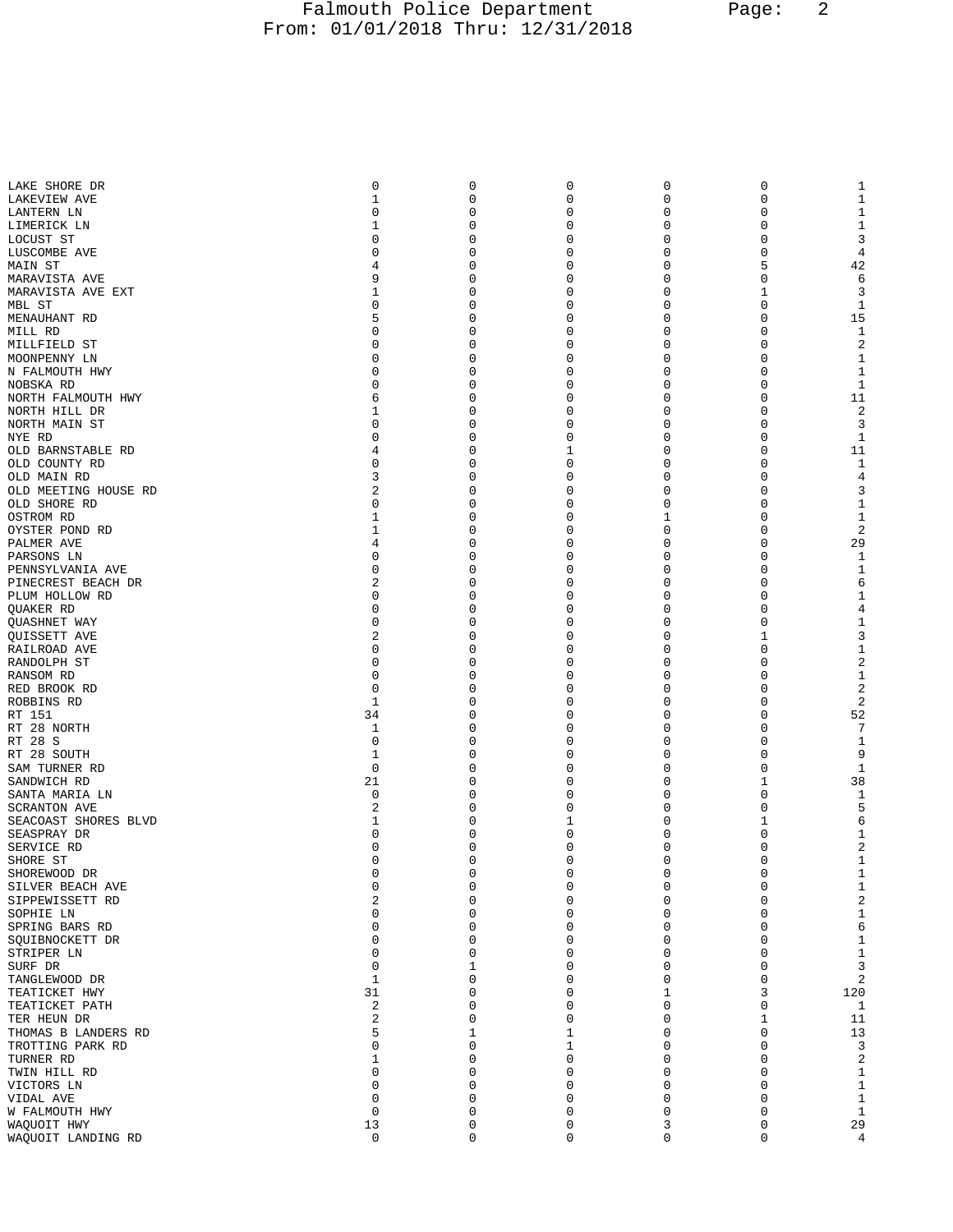## Falmouth Police Department Page: 2 From: 01/01/2018 Thru: 12/31/2018

| LAKE SHORE DR                               | 0                 | 0      | 0             | 0                | 0        | 1                           |
|---------------------------------------------|-------------------|--------|---------------|------------------|----------|-----------------------------|
| LAKEVIEW AVE                                | 1                 | 0      | 0             | 0                | 0        | $\,1$                       |
| LANTERN LN                                  | O                 | 0      | 0             | 0                | $\Omega$ | $\mathbf{1}$                |
| LIMERICK LN                                 | 1                 | 0      | 0             | 0                | 0        | $\mathbf{1}$                |
| LOCUST ST                                   | 0                 | 0      | 0             | 0                | 0        | 3                           |
| LUSCOMBE AVE                                | $\Omega$          | 0      | 0             | 0                | 0        | $\,4$                       |
| MAIN ST                                     | 4                 | 0      | 0             | 0                | 5        | 42                          |
| MARAVISTA AVE                               | 9                 | 0      | 0             | 0                | 0        | 6                           |
| MARAVISTA AVE EXT                           | 1                 | 0      | 0             | 0                | 1        | 3                           |
| MBL ST                                      | 0                 | 0      | 0             | 0                | 0        | 1                           |
| MENAUHANT RD                                | 5<br>$\Omega$     | 0      | 0             | 0                | 0        | 15                          |
| MILL RD<br>MILLFIELD ST                     | $\Omega$          | 0<br>0 | 0<br>0        | $\mathbf 0$<br>0 | 0<br>0   | 1<br>2                      |
| MOONPENNY LN                                | 0                 | 0      | 0             | 0                | 0        | 1                           |
| N FALMOUTH HWY                              | 0                 | 0      | 0             | 0                | 0        | $1\,$                       |
| NOBSKA RD                                   | $\Omega$          | 0      | 0             | 0                | 0        | $\mathbf{1}$                |
| NORTH FALMOUTH HWY                          | 6                 | 0      | 0             | 0                | 0        | 11                          |
| NORTH HILL DR                               | 1                 | 0      | 0             | 0                | 0        | 2                           |
| NORTH MAIN ST                               | $\Omega$          | 0      | 0             | 0                | 0        | 3                           |
| NYE RD                                      | 0                 | 0      | 0             | 0                | 0        | 1                           |
| OLD BARNSTABLE RD                           | 4                 | 0      | 1             | 0                | 0        | 11                          |
| OLD COUNTY RD                               | $\Omega$          | 0      | 0             | 0                | 0        | 1                           |
| OLD MAIN RD                                 | 3                 | 0      | 0             | 0                | 0        | 4                           |
| OLD MEETING HOUSE RD                        | 2                 | 0      | 0             | 0                | 0        | 3                           |
| OLD SHORE RD                                | 0                 | 0      | 0             | 0                | 0        | 1                           |
| OSTROM RD                                   | 1                 | 0      | 0             | 1                | 0        | $1\,$                       |
| OYSTER POND RD                              | 1                 | 0      | 0             | $\mathbf 0$      | 0        | $\sqrt{2}$                  |
| PALMER AVE                                  | 4                 | 0      | 0             | 0                | 0        | 29                          |
| PARSONS LN                                  | 0                 | 0      | 0             | 0                | 0        | 1                           |
| PENNSYLVANIA AVE                            | 0                 | 0      | 0             | 0                | 0        | 1                           |
| PINECREST BEACH DR                          | 2<br>0            | 0<br>0 | 0<br>0        | 0<br>0           | 0<br>0   | 6<br>1                      |
| PLUM HOLLOW RD<br>QUAKER RD                 | $\Omega$          | 0      | 0             | 0                | 0        | $\overline{4}$              |
| QUASHNET WAY                                | 0                 | 0      | 0             | 0                | 0        | $\mathbf{1}$                |
| QUISSETT AVE                                | 2                 | 0      | 0             | 0                | 1        | 3                           |
| RAILROAD AVE                                | 0                 | 0      | 0             | 0                | 0        | $\mathbf{1}$                |
| RANDOLPH ST                                 | 0                 | 0      | 0             | 0                | 0        | 2                           |
| RANSOM RD                                   | $\Omega$          | 0      | 0             | 0                | 0        | $1\,$                       |
| RED BROOK RD                                | $\Omega$          | 0      | 0             | 0                | 0        | 2                           |
| ROBBINS RD                                  | 1                 | 0      | 0             | 0                | 0        | 2                           |
| RT 151                                      | 34                | 0      | 0             | 0                | 0        | 52                          |
| RT 28 NORTH                                 | 1                 | 0      | 0             | 0                | 0        | $\overline{7}$              |
| RT 28 S                                     | 0                 | 0      | 0             | 0                | 0        | 1                           |
| RT 28 SOUTH                                 | 1                 | 0      | 0             | 0                | 0        | 9                           |
| SAM TURNER RD                               | $\mathbf 0$       | 0      | 0             | 0                | 0        | $\mathbf{1}$                |
| SANDWICH RD                                 | 21                | 0      | 0             | 0                | 1        | 38                          |
| SANTA MARIA LN                              | 0                 | 0      | 0             | 0                | 0        | 1                           |
| <b>SCRANTON AVE</b><br>SEACOAST SHORES BLVD | 2<br>1            | 0<br>0 | 0<br>1        | 0<br>0           | 0<br>1   | 5<br>6                      |
| SEASPRAY DR                                 | O                 | 0      | 0             | 0                | 0        | 1                           |
| SERVICE RD                                  | $\Omega$          | 0      | $\Omega$      | $\mathbf 0$      | 0        | 2                           |
| SHORE ST                                    | 0                 | 0      | $\Omega$      | 0                | 0        | $\mathbf 1$                 |
| SHOREWOOD DR                                | $\mathsf 0$       | 0      | 0             | 0                | 0        | $\mathbf{1}$                |
| SILVER BEACH AVE                            | 0                 | 0      | 0             | 0                | 0        | $\mathbf 1$                 |
| SIPPEWISSETT RD                             | 2                 | 0      | 0             | 0                | 0        | $\boldsymbol{2}$            |
| SOPHIE LN                                   | 0                 | 0      | 0             | 0                | 0        | $1\,$                       |
| SPRING BARS RD                              | $\Omega$          | 0      | 0             | 0                | 0        | $\epsilon$                  |
| SQUIBNOCKETT DR                             | 0                 | 0      | 0             | $\mathbf 0$      | 0        | $\mathbf{1}$                |
| STRIPER LN                                  | 0                 | 0      | 0             | 0                | 0        | $\mathbf 1$                 |
| SURF DR                                     | 0                 | 1      | $\Omega$      | 0                | 0        | 3                           |
| TANGLEWOOD DR                               | 1                 | 0      | 0             | 0                | 0        | $\sqrt{2}$                  |
| TEATICKET HWY                               | 31                | 0      | 0             | 1                | 3        | 120                         |
| TEATICKET PATH                              | 2                 | 0      | $\Omega$      | 0                | 0        | $\mathbf{1}$                |
| TER HEUN DR                                 | 2                 | 0      | 0             | 0                | 1        | 11                          |
| THOMAS B LANDERS RD                         | 5                 | 1      | 1             | 0                | 0        | 13                          |
| TROTTING PARK RD                            | 0<br>$\mathbf{1}$ | 0      | 1             | $\Omega$         | 0        | 3                           |
| TURNER RD                                   | 0                 | 0<br>0 | 0<br>$\Omega$ | 0<br>0           | 0<br>U   | $\sqrt{2}$                  |
| TWIN HILL RD<br>VICTORS LN                  | $\Omega$          | U      | O             | $\Omega$         | 0        | $\mathbf{1}$<br>$\mathbf 1$ |
| VIDAL AVE                                   | 0                 | 0      | 0             | $\mathbf 0$      | 0        | $\mathbf{1}$                |
| W FALMOUTH HWY                              | 0                 | 0      | 0             | 0                | 0        | $\mathbf{1}$                |
| WAQUOIT HWY                                 | 13                | 0      | 0             | 3                | 0        | 29                          |
| WAQUOIT LANDING RD                          | $\mathsf 0$       | 0      | 0             | $\mathbf 0$      | 0        | $\overline{4}$              |